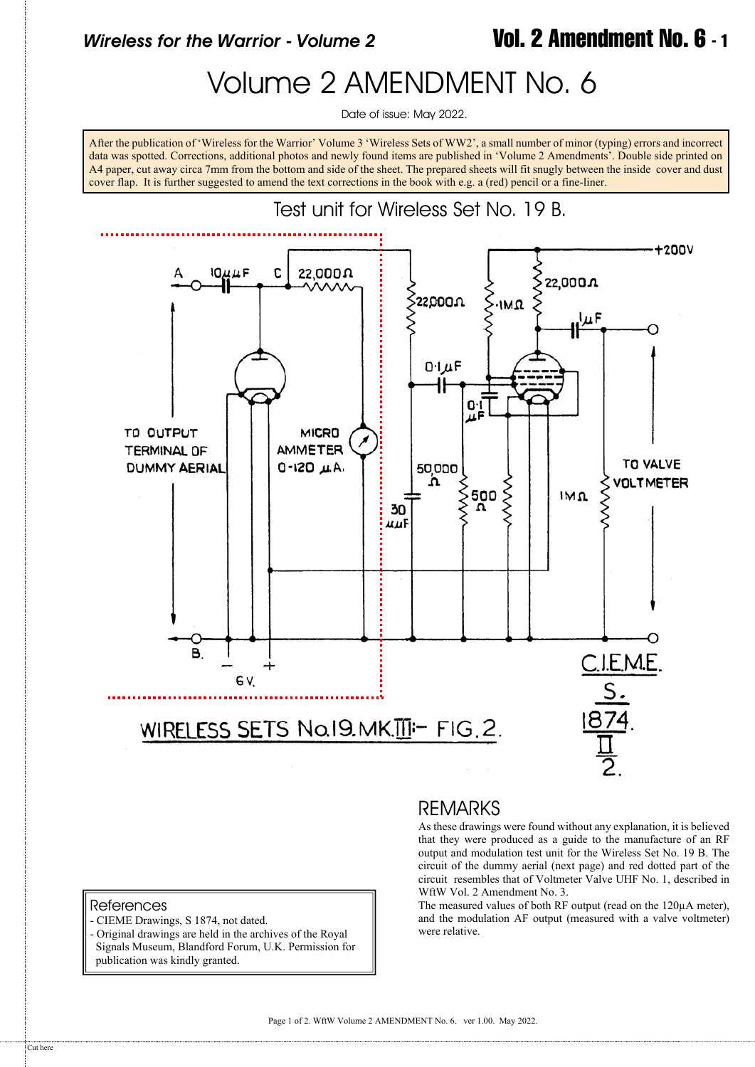## *Wireless for the Warrior - Volume 2* **Vol. 2 Amendment No. 6 - 1**

## Volume 2 AMENDMENT No. 6

Date of issue: May 2022.

After the publication of 'Wireless for the Warrior' Volume 3 'Wireless Sets of WW2', a small number of minor (typing) errors and incorrect data was spotted. Corrections, additional photos and newly found items are published in 'Volume 2 Amendments'. Double side printed on A4 paper, cut away circa 7mm from the bottom and side of the sheet. The prepared sheets will fit snugly between the inside cover and dust cover flap. It is further suggested to amend the text corrections in the book with e.g. a (red) pencil or a fine-liner.



## REMARKS

As these drawings were found without any explanation, it is believed that they were produced as a guide to the manufacture of an RF output and modulation test unit for the Wireless Set No. 19 B. The circuit of the dummy aerial (next page) and red dotted part of the circuit resembles that of Voltmeter Valve UHF No. 1, described in WftW Vol. 2 Amendment No. 3.

The measured values of both RF output (read on the 120µA meter), and the modulation AF output (measured with a valve voltmeter) were relative.

## References

- CIEME Drawings, S 1874, not dated.
- Original drawings are held in the archives of the Royal Signals Museum, Blandford Forum, U.K. Permission for publication was kindly granted.